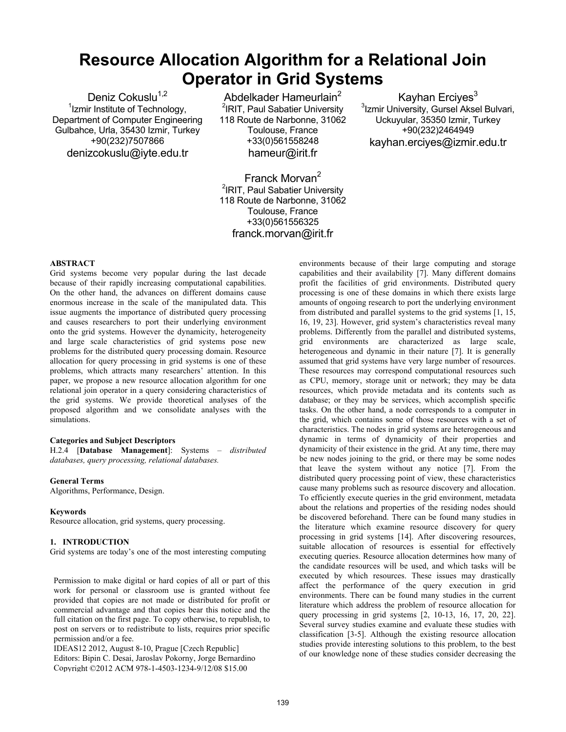# **Resource Allocation Algorithm for a Relational Join Operator in Grid Systems**

Deniz Cokuslu $1,2$ <sup>1</sup>Izmir Institute of Technology, Department of Computer Engineering Gulbahce, Urla, 35430 Izmir, Turkey +90(232)7507866 denizcokuslu@iyte.edu.tr

Abdelkader Hameurlain<sup>2</sup> <sup>2</sup>IRIT, Paul Sabatier University 118 Route de Narbonne, 31062 Toulouse, France +33(0)561558248 hameur@irit.fr

Franck Morvan<sup>2</sup> <sup>2</sup>IRIT, Paul Sabatier University 118 Route de Narbonne, 31062 Toulouse, France +33(0)561556325

franck.morvan@irit.fr

**ABSTRACT**

Grid systems become very popular during the last decade because of their rapidly increasing computational capabilities. On the other hand, the advances on different domains cause enormous increase in the scale of the manipulated data. This issue augments the importance of distributed query processing and causes researchers to port their underlying environment onto the grid systems. However the dynamicity, heterogeneity and large scale characteristics of grid systems pose new problems for the distributed query processing domain. Resource allocation for query processing in grid systems is one of these problems, which attracts many researchers' attention. In this paper, we propose a new resource allocation algorithm for one relational join operator in a query considering characteristics of the grid systems. We provide theoretical analyses of the proposed algorithm and we consolidate analyses with the simulations.

# **Categories and Subject Descriptors**

H.2.4 [**Database Management**]: Systems – *distributed databases, query processing, relational databases.* 

### **General Terms**

Algorithms, Performance, Design.

#### **Keywords**

Resource allocation, grid systems, query processing.

#### **1. INTRODUCTION**

Grid systems are today's one of the most interesting computing

Permission to make digital or hard copies of all or part of this work for personal or classroom use is granted without fee provided that copies are not made or distributed for profit or commercial advantage and that copies bear this notice and the full citation on the first page. To copy otherwise, to republish, to post on servers or to redistribute to lists, requires prior specific permission and/or a fee.

IDEAS12 2012, August 8-10, Prague [Czech Republic] Editors: Bipin C. Desai, Jaroslav Pokorny, Jorge Bernardino Copyright ©2012 ACM 978-1-4503-1234-9/12/08 \$15.00

environments because of their large computing and storage capabilities and their availability [7]. Many different domains profit the facilities of grid environments. Distributed query processing is one of these domains in which there exists large amounts of ongoing research to port the underlying environment from distributed and parallel systems to the grid systems [1, 15, 16, 19, 23]. However, grid system's characteristics reveal many problems. Differently from the parallel and distributed systems, grid environments are characterized as large scale, heterogeneous and dynamic in their nature [7]. It is generally assumed that grid systems have very large number of resources. These resources may correspond computational resources such as CPU, memory, storage unit or network; they may be data resources, which provide metadata and its contents such as database; or they may be services, which accomplish specific tasks. On the other hand, a node corresponds to a computer in the grid, which contains some of those resources with a set of characteristics. The nodes in grid systems are heterogeneous and dynamic in terms of dynamicity of their properties and dynamicity of their existence in the grid. At any time, there may be new nodes joining to the grid, or there may be some nodes that leave the system without any notice [7]. From the distributed query processing point of view, these characteristics cause many problems such as resource discovery and allocation. To efficiently execute queries in the grid environment, metadata about the relations and properties of the residing nodes should be discovered beforehand. There can be found many studies in the literature which examine resource discovery for query processing in grid systems [14]. After discovering resources, suitable allocation of resources is essential for effectively executing queries. Resource allocation determines how many of the candidate resources will be used, and which tasks will be executed by which resources. These issues may drastically affect the performance of the query execution in grid environments. There can be found many studies in the current literature which address the problem of resource allocation for query processing in grid systems [2, 10-13, 16, 17, 20, 22]. Several survey studies examine and evaluate these studies with classification [3-5]. Although the existing resource allocation studies provide interesting solutions to this problem, to the best of our knowledge none of these studies consider decreasing the

Kayhan Ercives $3$ 3 Izmir University, Gursel Aksel Bulvari, Uckuyular, 35350 Izmir, Turkey +90(232)2464949 kayhan.erciyes@izmir.edu.tr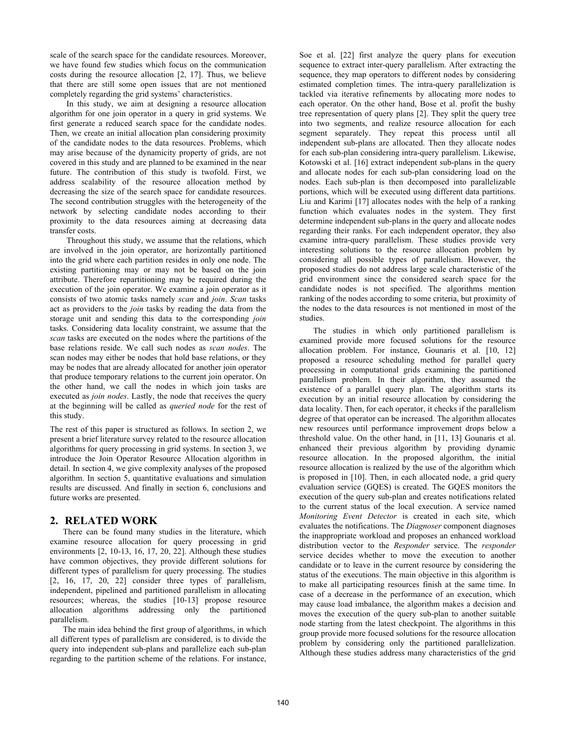scale of the search space for the candidate resources. Moreover, we have found few studies which focus on the communication costs during the resource allocation [2, 17]. Thus, we believe that there are still some open issues that are not mentioned completely regarding the grid systems' characteristics.

In this study, we aim at designing a resource allocation algorithm for one join operator in a query in grid systems. We first generate a reduced search space for the candidate nodes. Then, we create an initial allocation plan considering proximity of the candidate nodes to the data resources. Problems, which may arise because of the dynamicity property of grids, are not covered in this study and are planned to be examined in the near future. The contribution of this study is twofold. First, we address scalability of the resource allocation method by decreasing the size of the search space for candidate resources. The second contribution struggles with the heterogeneity of the network by selecting candidate nodes according to their proximity to the data resources aiming at decreasing data transfer costs.

Throughout this study, we assume that the relations, which are involved in the join operator, are horizontally partitioned into the grid where each partition resides in only one node. The existing partitioning may or may not be based on the join attribute. Therefore repartitioning may be required during the execution of the join operator. We examine a join operator as it consists of two atomic tasks namely *scan* and *join*. *Scan* tasks act as providers to the *join* tasks by reading the data from the storage unit and sending this data to the corresponding *join* tasks. Considering data locality constraint, we assume that the *scan* tasks are executed on the nodes where the partitions of the base relations reside. We call such nodes as *scan nodes*. The scan nodes may either be nodes that hold base relations, or they may be nodes that are already allocated for another join operator that produce temporary relations to the current join operator. On the other hand, we call the nodes in which join tasks are executed as *join nodes*. Lastly, the node that receives the query at the beginning will be called as *queried node* for the rest of this study.

The rest of this paper is structured as follows. In section 2, we present a brief literature survey related to the resource allocation algorithms for query processing in grid systems. In section 3, we introduce the Join Operator Resource Allocation algorithm in detail. In section 4, we give complexity analyses of the proposed algorithm. In section 5, quantitative evaluations and simulation results are discussed. And finally in section 6, conclusions and future works are presented.

# **2. RELATED WORK**

There can be found many studies in the literature, which examine resource allocation for query processing in grid environments [2, 10-13, 16, 17, 20, 22]. Although these studies have common objectives, they provide different solutions for different types of parallelism for query processing. The studies  $[2, 16, 17, 20, 22]$  consider three types of parallelism, independent, pipelined and partitioned parallelism in allocating resources; whereas, the studies [10-13] propose resource allocation algorithms addressing only the partitioned parallelism.

The main idea behind the first group of algorithms, in which all different types of parallelism are considered, is to divide the query into independent sub-plans and parallelize each sub-plan regarding to the partition scheme of the relations. For instance,

Soe et al. [22] first analyze the query plans for execution sequence to extract inter-query parallelism. After extracting the sequence, they map operators to different nodes by considering estimated completion times. The intra-query parallelization is tackled via iterative refinements by allocating more nodes to each operator. On the other hand, Bose et al. profit the bushy tree representation of query plans [2]. They split the query tree into two segments, and realize resource allocation for each segment separately. They repeat this process until all independent sub-plans are allocated. Then they allocate nodes for each sub-plan considering intra-query parallelism. Likewise, Kotowski et al. [16] extract independent sub-plans in the query and allocate nodes for each sub-plan considering load on the nodes. Each sub-plan is then decomposed into parallelizable portions, which will be executed using different data partitions. Liu and Karimi [17] allocates nodes with the help of a ranking function which evaluates nodes in the system. They first determine independent sub-plans in the query and allocate nodes regarding their ranks. For each independent operator, they also examine intra-query parallelism. These studies provide very interesting solutions to the resource allocation problem by considering all possible types of parallelism. However, the proposed studies do not address large scale characteristic of the grid environment since the considered search space for the candidate nodes is not specified. The algorithms mention ranking of the nodes according to some criteria, but proximity of the nodes to the data resources is not mentioned in most of the studies.

The studies in which only partitioned parallelism is examined provide more focused solutions for the resource allocation problem. For instance, Gounaris et al. [10, 12] proposed a resource scheduling method for parallel query processing in computational grids examining the partitioned parallelism problem. In their algorithm, they assumed the existence of a parallel query plan. The algorithm starts its execution by an initial resource allocation by considering the data locality. Then, for each operator, it checks if the parallelism degree of that operator can be increased. The algorithm allocates new resources until performance improvement drops below a threshold value. On the other hand, in [11, 13] Gounaris et al. enhanced their previous algorithm by providing dynamic resource allocation. In the proposed algorithm, the initial resource allocation is realized by the use of the algorithm which is proposed in [10]. Then, in each allocated node, a grid query evaluation service (GQES) is created. The GQES monitors the execution of the query sub-plan and creates notifications related to the current status of the local execution. A service named *Monitoring Event Detector* is created in each site, which evaluates the notifications. The *Diagnoser* component diagnoses the inappropriate workload and proposes an enhanced workload distribution vector to the *Responder* service. The *responder* service decides whether to move the execution to another candidate or to leave in the current resource by considering the status of the executions. The main objective in this algorithm is to make all participating resources finish at the same time. In case of a decrease in the performance of an execution, which may cause load imbalance, the algorithm makes a decision and moves the execution of the query sub-plan to another suitable node starting from the latest checkpoint. The algorithms in this group provide more focused solutions for the resource allocation problem by considering only the partitioned parallelization. Although these studies address many characteristics of the grid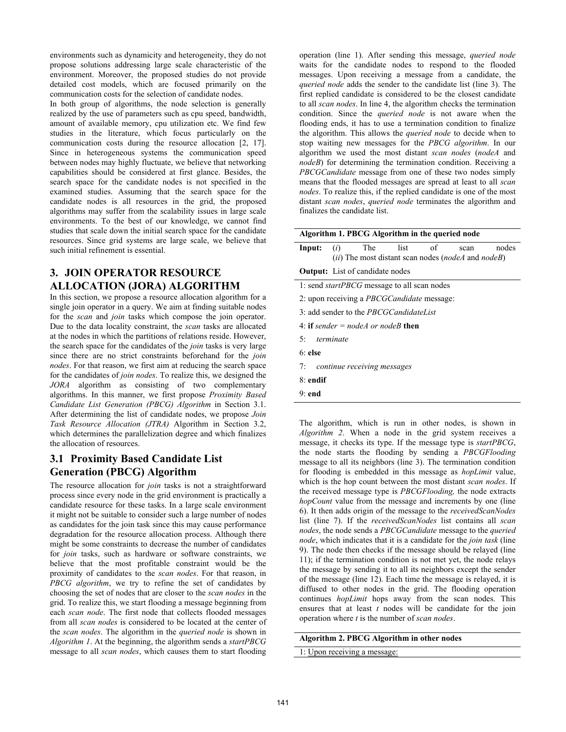environments such as dynamicity and heterogeneity, they do not propose solutions addressing large scale characteristic of the environment. Moreover, the proposed studies do not provide detailed cost models, which are focused primarily on the communication costs for the selection of candidate nodes.

In both group of algorithms, the node selection is generally realized by the use of parameters such as cpu speed, bandwidth, amount of available memory, cpu utilization etc. We find few studies in the literature, which focus particularly on the communication costs during the resource allocation [2, 17]. Since in heterogeneous systems the communication speed between nodes may highly fluctuate, we believe that networking capabilities should be considered at first glance. Besides, the search space for the candidate nodes is not specified in the examined studies. Assuming that the search space for the candidate nodes is all resources in the grid, the proposed algorithms may suffer from the scalability issues in large scale environments. To the best of our knowledge, we cannot find studies that scale down the initial search space for the candidate resources. Since grid systems are large scale, we believe that such initial refinement is essential.

# **3. JOIN OPERATOR RESOURCE ALLOCATION (JORA) ALGORITHM**

In this section, we propose a resource allocation algorithm for a single join operator in a query. We aim at finding suitable nodes for the *scan* and *join* tasks which compose the join operator. Due to the data locality constraint, the *scan* tasks are allocated at the nodes in which the partitions of relations reside. However, the search space for the candidates of the *join* tasks is very large since there are no strict constraints beforehand for the *join nodes*. For that reason, we first aim at reducing the search space for the candidates of *join nodes*. To realize this, we designed the *JORA* algorithm as consisting of two complementary algorithms. In this manner, we first propose *Proximity Based Candidate List Generation (PBCG) Algorithm* in Section 3.1. After determining the list of candidate nodes, we propose *Join Task Resource Allocation (JTRA)* Algorithm in Section 3.2, which determines the parallelization degree and which finalizes the allocation of resources.

# **3.1 Proximity Based Candidate List Generation (PBCG) Algorithm**

The resource allocation for *join* tasks is not a straightforward process since every node in the grid environment is practically a candidate resource for these tasks. In a large scale environment it might not be suitable to consider such a large number of nodes as candidates for the join task since this may cause performance degradation for the resource allocation process. Although there might be some constraints to decrease the number of candidates for *join* tasks, such as hardware or software constraints, we believe that the most profitable constraint would be the proximity of candidates to the *scan nodes*. For that reason, in *PBCG algorithm*, we try to refine the set of candidates by choosing the set of nodes that are closer to the *scan nodes* in the grid. To realize this, we start flooding a message beginning from each *scan node*. The first node that collects flooded messages from all *scan nodes* is considered to be located at the center of the *scan nodes*. The algorithm in the *queried node* is shown in *Algorithm 1*. At the beginning, the algorithm sends a *startPBCG* message to all *scan nodes*, which causes them to start flooding

operation (line 1). After sending this message, *queried node* waits for the candidate nodes to respond to the flooded messages. Upon receiving a message from a candidate, the *queried node* adds the sender to the candidate list (line 3). The first replied candidate is considered to be the closest candidate to all *scan nodes*. In line 4, the algorithm checks the termination condition. Since the *queried node* is not aware when the flooding ends, it has to use a termination condition to finalize the algorithm. This allows the *queried node* to decide when to stop waiting new messages for the *PBCG algorithm*. In our algorithm we used the most distant *scan nodes* (*nodeA* and *nodeB*) for determining the termination condition. Receiving a *PBCGCandidate* message from one of these two nodes simply means that the flooded messages are spread at least to all *scan nodes*. To realize this, if the replied candidate is one of the most distant *scan nodes*, *queried node* terminates the algorithm and finalizes the candidate list.

| Algorithm 1. PBCG Algorithm in the queried node |           |                                                    |      |            |                                                            |       |
|-------------------------------------------------|-----------|----------------------------------------------------|------|------------|------------------------------------------------------------|-------|
| Input:                                          | (i)       | The                                                | list | $\circ$ of | scan<br>(ii) The most distant scan nodes (nodeA and nodeB) | nodes |
|                                                 |           | <b>Output:</b> List of candidate nodes             |      |            |                                                            |       |
|                                                 |           | 1: send <i>startPBCG</i> message to all scan nodes |      |            |                                                            |       |
|                                                 |           | 2: upon receiving a <i>PBCGCandidate</i> message:  |      |            |                                                            |       |
|                                                 |           | 3: add sender to the <i>PBCGCandidateList</i>      |      |            |                                                            |       |
|                                                 |           | 4: if sender = nodeA or nodeB then                 |      |            |                                                            |       |
| 5 <sup>0</sup>                                  | terminate |                                                    |      |            |                                                            |       |
| $6 \cdot$ else                                  |           |                                                    |      |            |                                                            |       |
| 7:                                              |           | continue receiving messages                        |      |            |                                                            |       |
| $8 \cdot$ endif                                 |           |                                                    |      |            |                                                            |       |
|                                                 |           |                                                    |      |            |                                                            |       |

9: **end** 

The algorithm, which is run in other nodes, is shown in *Algorithm 2*. When a node in the grid system receives a message, it checks its type. If the message type is *startPBCG*, the node starts the flooding by sending a *PBCGFlooding* message to all its neighbors (line 3). The termination condition for flooding is embedded in this message as *hopLimit* value, which is the hop count between the most distant *scan nodes*. If the received message type is *PBCGFlooding,* the node extracts *hopCount* value from the message and increments by one (line 6). It then adds origin of the message to the *receivedScanNodes* list (line 7). If the *receivedScanNodes* list contains all *scan nodes*, the node sends a *PBCGCandidate* message to the *queried node*, which indicates that it is a candidate for the *join task* (line 9). The node then checks if the message should be relayed (line 11); if the termination condition is not met yet, the node relays the message by sending it to all its neighbors except the sender of the message (line 12). Each time the message is relayed, it is diffused to other nodes in the grid. The flooding operation continues *hopLimit* hops away from the scan nodes. This ensures that at least *t* nodes will be candidate for the join operation where *t* is the number of *scan nodes*.

**Algorithm 2. PBCG Algorithm in other nodes** 

1: Upon receiving a message: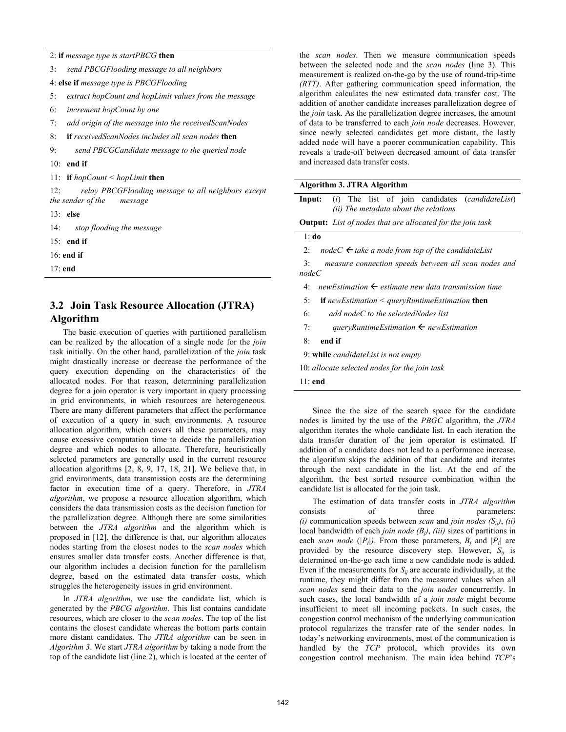2: **if** *message type is startPBCG* **then** 

| 3: | send PBCGFlooding message to all neighbors |  |
|----|--------------------------------------------|--|
|----|--------------------------------------------|--|

4: **else if** *message type is PBCGFlooding*

5: *extract hopCount and hopLimit values from the message*

6: *increment hopCount by one*

7: *add origin of the message into the receivedScanNodes*

- 8: **if** *receivedScanNodes includes all scan nodes* **then**
- 9: *send PBCGCandidate message to the queried node*
- 10: **end if**
- 11: **if** *hopCount < hopLimit* **then**

12: *relay PBCGFlooding message to all neighbors except the sender of the message*

- 13: **else**
- 14: *stop flooding the message*
- 15: **end if**

16: **end if**

17: **end** 

# **3.2 Join Task Resource Allocation (JTRA) Algorithm**

The basic execution of queries with partitioned parallelism can be realized by the allocation of a single node for the *join* task initially. On the other hand, parallelization of the *join* task might drastically increase or decrease the performance of the query execution depending on the characteristics of the allocated nodes. For that reason, determining parallelization degree for a join operator is very important in query processing in grid environments, in which resources are heterogeneous. There are many different parameters that affect the performance of execution of a query in such environments. A resource allocation algorithm, which covers all these parameters, may cause excessive computation time to decide the parallelization degree and which nodes to allocate. Therefore, heuristically selected parameters are generally used in the current resource allocation algorithms [2, 8, 9, 17, 18, 21]. We believe that, in grid environments, data transmission costs are the determining factor in execution time of a query. Therefore, in *JTRA algorithm*, we propose a resource allocation algorithm, which considers the data transmission costs as the decision function for the parallelization degree. Although there are some similarities between the *JTRA algorithm* and the algorithm which is proposed in [12], the difference is that, our algorithm allocates nodes starting from the closest nodes to the *scan nodes* which ensures smaller data transfer costs. Another difference is that, our algorithm includes a decision function for the parallelism degree, based on the estimated data transfer costs, which struggles the heterogeneity issues in grid environment.

In *JTRA algorithm*, we use the candidate list, which is generated by the *PBCG algorithm*. This list contains candidate resources, which are closer to the *scan nodes*. The top of the list contains the closest candidate whereas the bottom parts contain more distant candidates. The *JTRA algorithm* can be seen in *Algorithm 3*. We start *JTRA algorithm* by taking a node from the top of the candidate list (line 2), which is located at the center of the *scan nodes*. Then we measure communication speeds between the selected node and the *scan nodes* (line 3). This measurement is realized on-the-go by the use of round-trip-time *(RTT)*. After gathering communication speed information, the algorithm calculates the new estimated data transfer cost. The addition of another candidate increases parallelization degree of the *join* task. As the parallelization degree increases, the amount of data to be transferred to each *join node* decreases. However, since newly selected candidates get more distant, the lastly added node will have a poorer communication capability. This reveals a trade-off between decreased amount of data transfer and increased data transfer costs.

### **Algorithm 3. JTRA Algorithm**

**Input:** (*i*) The list of join candidates (*candidateList*)  *(ii) The metadata about the relations*

**Output:** *List of nodes that are allocated for the join task*

#### 1: **do**

2:  $nodeC \leftarrow$  take a node from top of the candidateList

 3: *measure connection speeds between all scan nodes and nodeC* 

- 4: *newEstimation* Å *estimate new data transmission time*
- 5: **if** *newEstimation < queryRuntimeEstimation* **then**
- 6: *add nodeC to the selectedNodes list*
- 7: *queryRuntimeEstimation*  $\leftarrow$  *newEstimation*

#### 8: **end if**

9: **while** *candidateList is not empty* 

- 10: *allocate selected nodes for the join task*
- 11: **end**

Since the the size of the search space for the candidate nodes is limited by the use of the *PBGC* algorithm, the *JTRA*  algorithm iterates the whole candidate list. In each iteration the data transfer duration of the join operator is estimated. If addition of a candidate does not lead to a performance increase, the algorithm skips the addition of that candidate and iterates through the next candidate in the list. At the end of the algorithm, the best sorted resource combination within the candidate list is allocated for the join task.

The estimation of data transfer costs in *JTRA algorithm* consists of three parameters: *(i)* communication speeds between *scan* and *join nodes*  $(S_{ii})$ , *(ii)* local bandwidth of each *join node (Bj)*, *(iii)* sizes of partitions in each *scan node* ( $|P_i|$ ). From those parameters,  $B_i$  and  $|P_i|$  are provided by the resource discovery step. However,  $S_{ii}$  is determined on-the-go each time a new candidate node is added. Even if the measurements for  $S_{ij}$  are accurate individually, at the runtime, they might differ from the measured values when all *scan nodes* send their data to the *join nodes* concurrently. In such cases, the local bandwidth of a *join node* might become insufficient to meet all incoming packets. In such cases, the congestion control mechanism of the underlying communication protocol regularizes the transfer rate of the sender nodes. In today's networking environments, most of the communication is handled by the *TCP* protocol, which provides its own congestion control mechanism. The main idea behind *TCP*'s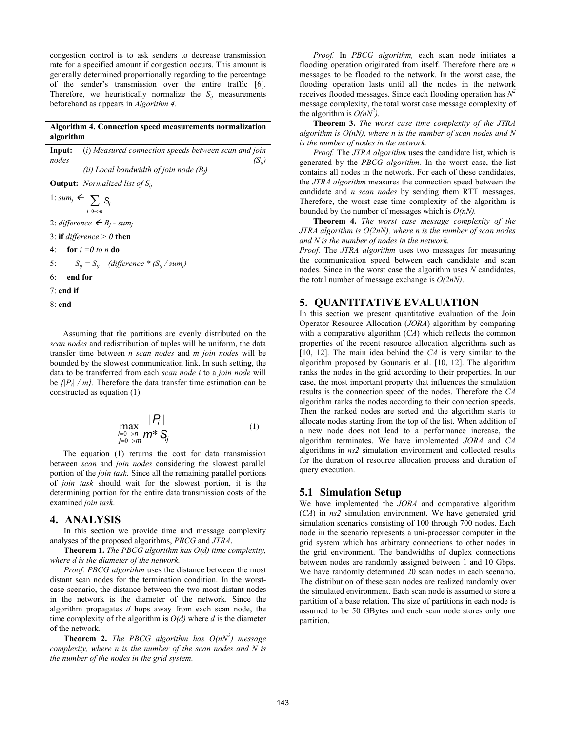congestion control is to ask senders to decrease transmission rate for a specified amount if congestion occurs. This amount is generally determined proportionally regarding to the percentage of the sender's transmission over the entire traffic [6]. Therefore, we heuristically normalize the  $S_{ij}$  measurements beforehand as appears in *Algorithm 4*.

#### **Algorithm 4. Connection speed measurements normalization algorithm**

| Input:<br>nodes | (i) Measured connection speeds between scan and join<br>$\langle \mathrm{S}_{ii} \rangle$ |  |  |  |  |  |
|-----------------|-------------------------------------------------------------------------------------------|--|--|--|--|--|
|                 | (ii) Local bandwidth of join node $(B_i)$                                                 |  |  |  |  |  |
|                 | <b>Output:</b> <i>Normalized list of</i> $S_{ii}$                                         |  |  |  |  |  |
|                 | 1: $sum_j \leftarrow \sum_i S_i$<br>$i=0 \rightarrow n$                                   |  |  |  |  |  |
|                 | 2: difference $\leftarrow B_i$ - sum <sub>i</sub>                                         |  |  |  |  |  |
|                 | 3: if <i>difference</i> $> 0$ then                                                        |  |  |  |  |  |

4: **for** *i =0 to n* **do** 

5:  $S_{ij} = S_{ij} - (difference * (S_{ij} / sum_i))$ 

- 6: **end for**
- 7: **end if**
- 8: **end**

Assuming that the partitions are evenly distributed on the *scan nodes* and redistribution of tuples will be uniform, the data transfer time between *n scan nodes* and *m join nodes* will be bounded by the slowest communication link. In such setting, the data to be transferred from each *scan node i* to a *join node* will be  $\sqrt{|P_i|}/m$ . Therefore the data transfer time estimation can be constructed as equation (1).

$$
\max_{\substack{j=0 \to n \\ j=0 \to m}} \frac{|P_j|}{m^* S_j}
$$
 (1)

The equation (1) returns the cost for data transmission between *scan* and *join nodes* considering the slowest parallel portion of the *join task*. Since all the remaining parallel portions of *join task* should wait for the slowest portion, it is the determining portion for the entire data transmission costs of the examined *join task*.

### **4. ANALYSIS**

In this section we provide time and message complexity analyses of the proposed algorithms, *PBCG* and *JTRA*.

**Theorem 1.** *The PBCG algorithm has O(d) time complexity, where d is the diameter of the network.* 

*Proof. PBCG algorithm* uses the distance between the most distant scan nodes for the termination condition. In the worstcase scenario, the distance between the two most distant nodes in the network is the diameter of the network. Since the algorithm propagates *d* hops away from each scan node, the time complexity of the algorithm is *O(d)* where *d* is the diameter of the network.

**Theorem 2.** *The PBCG algorithm has*  $O(nN^2)$  *message complexity, where n is the number of the scan nodes and N is the number of the nodes in the grid system.* 

*Proof.* In *PBCG algorithm,* each scan node initiates a flooding operation originated from itself. Therefore there are *n*  messages to be flooded to the network. In the worst case, the flooding operation lasts until all the nodes in the network receives flooded messages. Since each flooding operation has  $N^2$ message complexity, the total worst case message complexity of the algorithm is  $O(nN^2)$ .

**Theorem 3.** *The worst case time complexity of the JTRA algorithm is O(nN), where n is the number of scan nodes and N is the number of nodes in the network.* 

*Proof.* The *JTRA algorithm* uses the candidate list, which is generated by the *PBCG algorithm.* In the worst case, the list contains all nodes in the network. For each of these candidates, the *JTRA algorithm* measures the connection speed between the candidate and *n scan nodes* by sending them RTT messages. Therefore, the worst case time complexity of the algorithm is bounded by the number of messages which is *O(nN).*

**Theorem 4.** *The worst case message complexity of the JTRA algorithm is O(2nN), where n is the number of scan nodes and N is the number of nodes in the network.* 

*Proof.* The *JTRA algorithm* uses two messages for measuring the communication speed between each candidate and scan nodes. Since in the worst case the algorithm uses *N* candidates, the total number of message exchange is *O(2nN)*.

## **5. QUANTITATIVE EVALUATION**

In this section we present quantitative evaluation of the Join Operator Resource Allocation (*JORA*) algorithm by comparing with a comparative algorithm  $(CA)$  which reflects the common properties of the recent resource allocation algorithms such as [10, 12]. The main idea behind the *CA* is very similar to the algorithm proposed by Gounaris et al. [10, 12]. The algorithm ranks the nodes in the grid according to their properties. In our case, the most important property that influences the simulation results is the connection speed of the nodes. Therefore the *CA* algorithm ranks the nodes according to their connection speeds. Then the ranked nodes are sorted and the algorithm starts to allocate nodes starting from the top of the list. When addition of a new node does not lead to a performance increase, the algorithm terminates. We have implemented *JORA* and *CA* algorithms in *ns2* simulation environment and collected results for the duration of resource allocation process and duration of query execution.

## **5.1 Simulation Setup**

We have implemented the *JORA* and comparative algorithm (*CA*) in *ns2* simulation environment. We have generated grid simulation scenarios consisting of 100 through 700 nodes. Each node in the scenario represents a uni-processor computer in the grid system which has arbitrary connections to other nodes in the grid environment. The bandwidths of duplex connections between nodes are randomly assigned between 1 and 10 Gbps. We have randomly determined 20 scan nodes in each scenario. The distribution of these scan nodes are realized randomly over the simulated environment. Each scan node is assumed to store a partition of a base relation. The size of partitions in each node is assumed to be 50 GBytes and each scan node stores only one partition.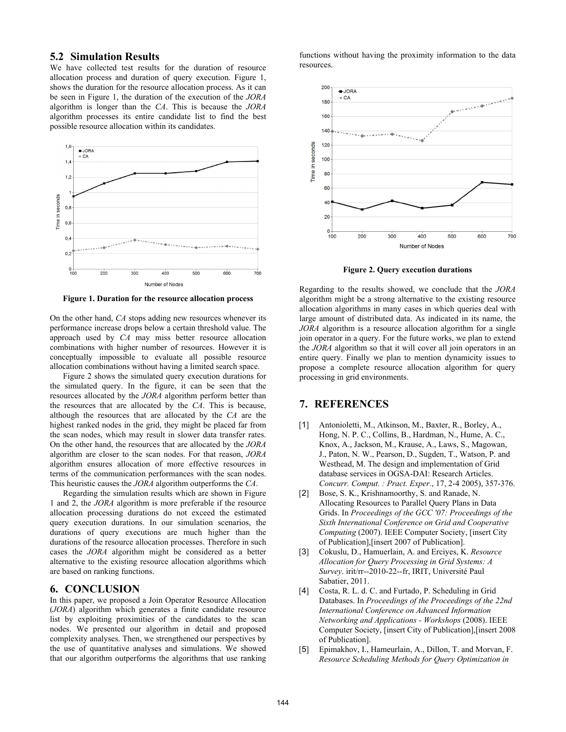# **5.2 Simulation Results**

We have collected test results for the duration of resource allocation process and duration of query execution. Figure 1, shows the duration for the resource allocation process. As it can be seen in Figure 1, the duration of the execution of the *JORA* algorithm is longer than the *CA*. This is because the *JORA* algorithm processes its entire candidate list to find the best possible resource allocation within its candidates.



**Figure 1. Duration for the resource allocation process** 

On the other hand, *CA* stops adding new resources whenever its performance increase drops below a certain threshold value. The approach used by *CA* may miss better resource allocation combinations with higher number of resources. However it is conceptually impossible to evaluate all possible resource allocation combinations without having a limited search space.

 Figure 2 shows the simulated query execution durations for the simulated query. In the figure, it can be seen that the resources allocated by the *JORA* algorithm perform better than the resources that are allocated by the *CA*. This is because, although the resources that are allocated by the *CA* are the highest ranked nodes in the grid, they might be placed far from the scan nodes, which may result in slower data transfer rates. On the other hand, the resources that are allocated by the *JORA*  algorithm are closer to the scan nodes. For that reason, *JORA* algorithm ensures allocation of more effective resources in terms of the communication performances with the scan nodes. This heuristic causes the *JORA* algorithm outperforms the *CA*.

 Regarding the simulation results which are shown in Figure 1 and 2, the *JORA* algorithm is more preferable if the resource allocation processing durations do not exceed the estimated query execution durations. In our simulation scenarios, the durations of query executions are much higher than the durations of the resource allocation processes. Therefore in such cases the *JORA* algorithm might be considered as a better alternative to the existing resource allocation algorithms which are based on ranking functions.

# **6. CONCLUSION**

In this paper, we proposed a Join Operator Resource Allocation (*JORA*) algorithm which generates a finite candidate resource list by exploiting proximities of the candidates to the scan nodes. We presented our algorithm in detail and proposed complexity analyses. Then, we strengthened our perspectives by the use of quantitative analyses and simulations. We showed that our algorithm outperforms the algorithms that use ranking

functions without having the proximity information to the data resources.



**Figure 2. Query execution durations** 

Regarding to the results showed, we conclude that the *JORA* algorithm might be a strong alternative to the existing resource allocation algorithms in many cases in which queries deal with large amount of distributed data. As indicated in its name, the *JORA* algorithm is a resource allocation algorithm for a single join operator in a query. For the future works, we plan to extend the *JORA* algorithm so that it will cover all join operators in an entire query. Finally we plan to mention dynamicity issues to propose a complete resource allocation algorithm for query processing in grid environments.

# **7. REFERENCES**

- [1] Antonioletti, M., Atkinson, M., Baxter, R., Borley, A., Hong, N. P. C., Collins, B., Hardman, N., Hume, A. C., Knox, A., Jackson, M., Krause, A., Laws, S., Magowan, J., Paton, N. W., Pearson, D., Sugden, T., Watson, P. and Westhead, M. The design and implementation of Grid database services in OGSA-DAI: Research Articles. *Concurr. Comput. : Pract. Exper.*, 17, 2-4 2005), 357-376.
- [2] Bose, S. K., Krishnamoorthy, S. and Ranade, N. Allocating Resources to Parallel Query Plans in Data Grids. In *Proceedings of the GCC '07: Proceedings of the Sixth International Conference on Grid and Cooperative Computing* (2007). IEEE Computer Society, [insert City of Publication],[insert 2007 of Publication].
- [3] Cokuslu, D., Hamuerlain, A. and Erciyes, K. *Resource Allocation for Query Processing in Grid Systems: A Survey*. irit/rr--2010-22--fr, IRIT, Université Paul Sabatier, 2011.
- [4] Costa, R. L. d. C. and Furtado, P. Scheduling in Grid Databases. In *Proceedings of the Proceedings of the 22nd International Conference on Advanced Information Networking and Applications - Workshops* (2008). IEEE Computer Society, [insert City of Publication],[insert 2008 of Publication].
- [5] Epimakhov, I., Hameurlain, A., Dillon, T. and Morvan, F. *Resource Scheduling Methods for Query Optimization in*